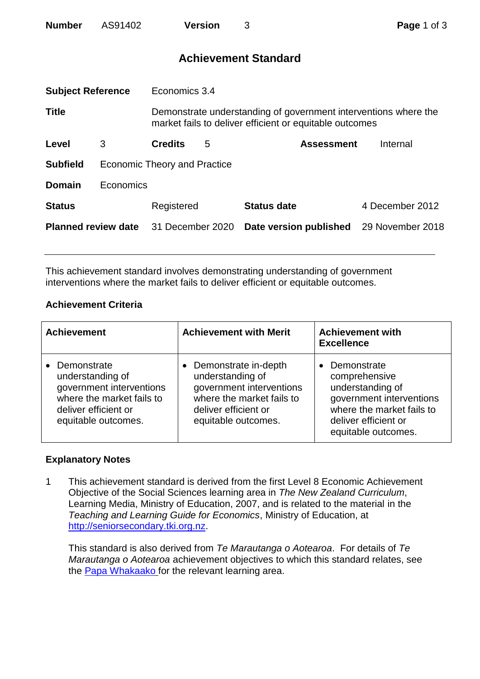| <b>Number</b> | AS91402 | <b>Version</b> |  |
|---------------|---------|----------------|--|
|               |         |                |  |

# **Achievement Standard**

| <b>Subject Reference</b>   |                              | Economics 3.4                                                                                                              |   |                        |                  |  |
|----------------------------|------------------------------|----------------------------------------------------------------------------------------------------------------------------|---|------------------------|------------------|--|
| <b>Title</b>               |                              | Demonstrate understanding of government interventions where the<br>market fails to deliver efficient or equitable outcomes |   |                        |                  |  |
| Level                      | 3                            | <b>Credits</b>                                                                                                             | 5 | <b>Assessment</b>      | Internal         |  |
| <b>Subfield</b>            | Economic Theory and Practice |                                                                                                                            |   |                        |                  |  |
| <b>Domain</b>              | Economics                    |                                                                                                                            |   |                        |                  |  |
| <b>Status</b>              |                              | Registered                                                                                                                 |   | <b>Status date</b>     | 4 December 2012  |  |
| <b>Planned review date</b> |                              | 31 December 2020                                                                                                           |   | Date version published | 29 November 2018 |  |
|                            |                              |                                                                                                                            |   |                        |                  |  |

This achievement standard involves demonstrating understanding of government interventions where the market fails to deliver efficient or equitable outcomes.

## **Achievement Criteria**

| <b>Achievement</b>                                                                                                                      | <b>Achievement with Merit</b>                                                                                                                      | <b>Achievement with</b><br><b>Excellence</b>                                                                                                                          |  |
|-----------------------------------------------------------------------------------------------------------------------------------------|----------------------------------------------------------------------------------------------------------------------------------------------------|-----------------------------------------------------------------------------------------------------------------------------------------------------------------------|--|
| Demonstrate<br>understanding of<br>government interventions<br>where the market fails to<br>deliver efficient or<br>equitable outcomes. | • Demonstrate in-depth<br>understanding of<br>government interventions<br>where the market fails to<br>deliver efficient or<br>equitable outcomes. | Demonstrate<br>$\bullet$<br>comprehensive<br>understanding of<br>government interventions<br>where the market fails to<br>deliver efficient or<br>equitable outcomes. |  |

### **Explanatory Notes**

1 This achievement standard is derived from the first Level 8 Economic Achievement Objective of the Social Sciences learning area in *The New Zealand Curriculum*, Learning Media, Ministry of Education, 2007, and is related to the material in the *Teaching and Learning Guide for Economics*, Ministry of Education, at [http://seniorsecondary.tki.org.nz.](http://seniorsecondary.tki.org.nz/)

This standard is also derived from *Te Marautanga o Aotearoa*. For details of *Te Marautanga o Aotearoa* achievement objectives to which this standard relates, see the [Papa Whakaako](http://tmoa.tki.org.nz/Te-Marautanga-o-Aotearoa/Taumata-Matauranga-a-Motu-Ka-Taea) for the relevant learning area.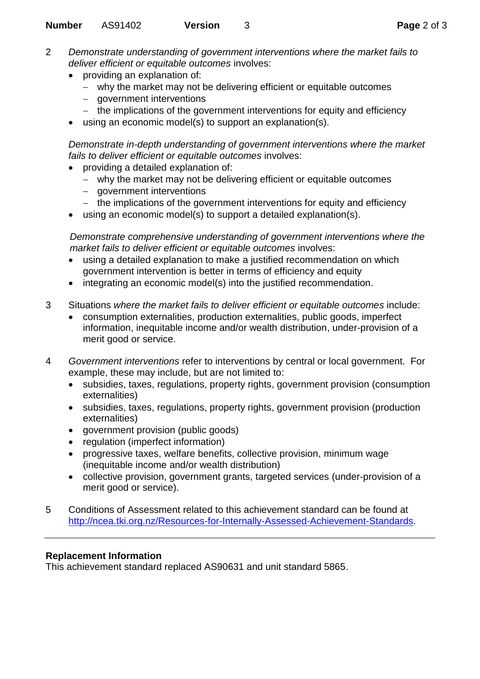- 2 *Demonstrate understanding of government interventions where the market fails to deliver efficient or equitable outcomes* involves:
	- providing an explanation of:
		- why the market may not be delivering efficient or equitable outcomes
		- government interventions
		- the implications of the government interventions for equity and efficiency
	- using an economic model(s) to support an explanation(s).

*Demonstrate in-depth understanding of government interventions where the market fails to deliver efficient or equitable outcomes* involves:

- providing a detailed explanation of:
	- why the market may not be delivering efficient or equitable outcomes
	- government interventions
	- the implications of the government interventions for equity and efficiency
- using an economic model(s) to support a detailed explanation(s).

*Demonstrate comprehensive understanding of government interventions where the market fails to deliver efficient or equitable outcomes* involves:

- using a detailed explanation to make a justified recommendation on which government intervention is better in terms of efficiency and equity
- integrating an economic model(s) into the justified recommendation.
- 3 Situations *where the market fails to deliver efficient or equitable outcomes* include:
	- consumption externalities, production externalities, public goods, imperfect information, inequitable income and/or wealth distribution, under-provision of a merit good or service.
- 4 *Government interventions* refer to interventions by central or local government. For example, these may include, but are not limited to:
	- subsidies, taxes, regulations, property rights, government provision (consumption externalities)
	- subsidies, taxes, regulations, property rights, government provision (production externalities)
	- **•** government provision (public goods)
	- regulation (imperfect information)
	- progressive taxes, welfare benefits, collective provision, minimum wage (inequitable income and/or wealth distribution)
	- collective provision, government grants, targeted services (under-provision of a merit good or service).
- 5 Conditions of Assessment related to this achievement standard can be found at [http://ncea.tki.org.nz/Resources-for-Internally-Assessed-Achievement-Standards.](http://ncea.tki.org.nz/Resources-for-Internally-Assessed-Achievement-Standards)

## **Replacement Information**

This achievement standard replaced AS90631 and unit standard 5865.